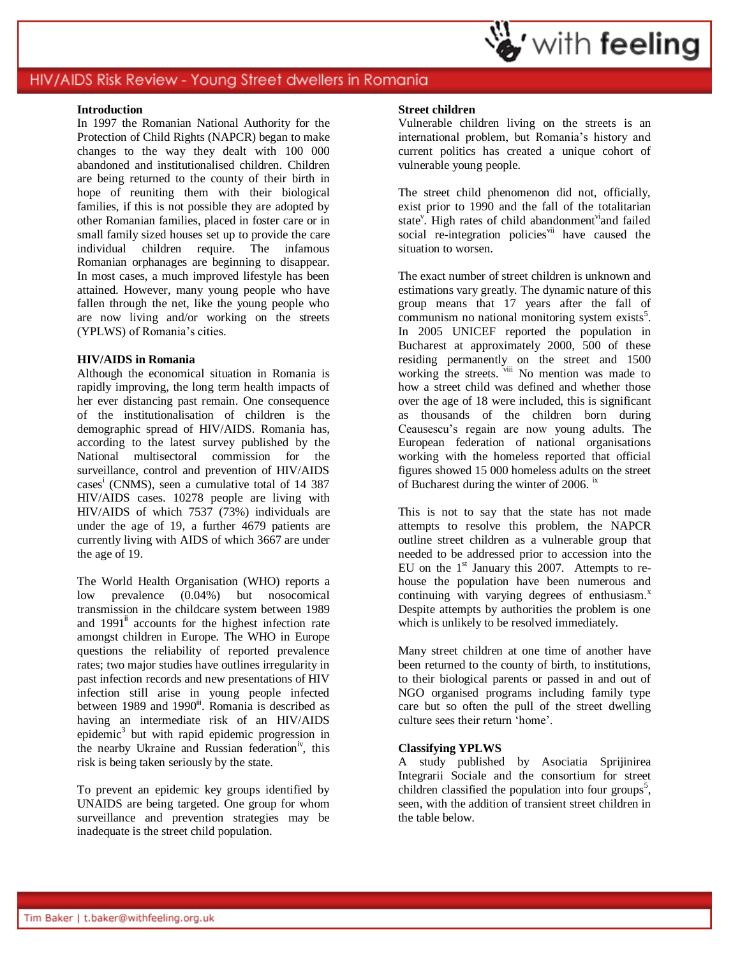### **Introduction**

In 1997 the Romanian National Authority for the Protection of Child Rights (NAPCR) began to make changes to the way they dealt with 100 000 abandoned and institutionalised children. Children are being returned to the county of their birth in hope of reuniting them with their biological families, if this is not possible they are adopted by other Romanian families, placed in foster care or in small family sized houses set up to provide the care individual children require. The infamous Romanian orphanages are beginning to disappear. In most cases, a much improved lifestyle has been attained. However, many young people who have fallen through the net, like the young people who are now living and/or working on the streets (YPLWS) of Romania's cities.

### **HIV/AIDS in Romania**

Although the economical situation in Romania is rapidly improving, the long term health impacts of her ever distancing past remain. One consequence of the institutionalisation of children is the demographic spread of HIV/AIDS. Romania has, according to the latest survey published by the National multisectoral commission for the surveillance, control and prevention of HIV/AIDS cases<sup>i</sup> (CNMS), seen a cumulative total of 14 387 HIV/AIDS cases. 10278 people are living with HIV/AIDS of which 7537 (73%) individuals are under the age of 19, a further 4679 patients are currently living with AIDS of which 3667 are under the age of 19.

The World Health Organisation (WHO) reports a low prevalence (0.04%) but nosocomical transmission in the childcare system between 1989 and  $1991$ <sup>ii</sup> accounts for the highest infection rate amongst children in Europe. The WHO in Europe questions the reliability of reported prevalence rates; two major studies have outlines irregularity in past infection records and new presentations of HIV infection still arise in young people infected between 1989 and 1990<sup>ii</sup>. Romania is described as having an intermediate risk of an HIV/AIDS epidemic<sup>3</sup> but with rapid epidemic progression in the nearby Ukraine and Russian federation<sup>iv</sup>, this risk is being taken seriously by the state.

To prevent an epidemic key groups identified by UNAIDS are being targeted. One group for whom surveillance and prevention strategies may be inadequate is the street child population.

### **Street children**

Vulnerable children living on the streets is an international problem, but Romania's history and current politics has created a unique cohort of vulnerable young people.

The street child phenomenon did not, officially, exist prior to 1990 and the fall of the totalitarian state<sup>v</sup>. High rates of child abandonment<sup>vi</sup>and failed social re-integration policies<sup>vii</sup> have caused the situation to worsen.

The exact number of street children is unknown and estimations vary greatly. The dynamic nature of this group means that 17 years after the fall of communism no national monitoring system exists<sup>5</sup>. In 2005 UNICEF reported the population in Bucharest at approximately 2000, 500 of these residing permanently on the street and 1500 working the streets. viii No mention was made to how a street child was defined and whether those over the age of 18 were included, this is significant as thousands of the children born during Ceausescu's regain are now young adults. The European federation of national organisations working with the homeless reported that official figures showed 15 000 homeless adults on the street of Bucharest during the winter of 2006. ix

This is not to say that the state has not made attempts to resolve this problem, the NAPCR outline street children as a vulnerable group that needed to be addressed prior to accession into the EU on the 1<sup>st</sup> January this 2007. Attempts to rehouse the population have been numerous and continuing with varying degrees of enthusiasm. $x$ Despite attempts by authorities the problem is one which is unlikely to be resolved immediately.

Many street children at one time of another have been returned to the county of birth, to institutions, to their biological parents or passed in and out of NGO organised programs including family type care but so often the pull of the street dwelling culture sees their return 'home'.

### **Classifying YPLWS**

A study published by Asociatia Sprijinirea Integrarii Sociale and the consortium for street children classified the population into four groups<sup>5</sup>, seen, with the addition of transient street children in the table below.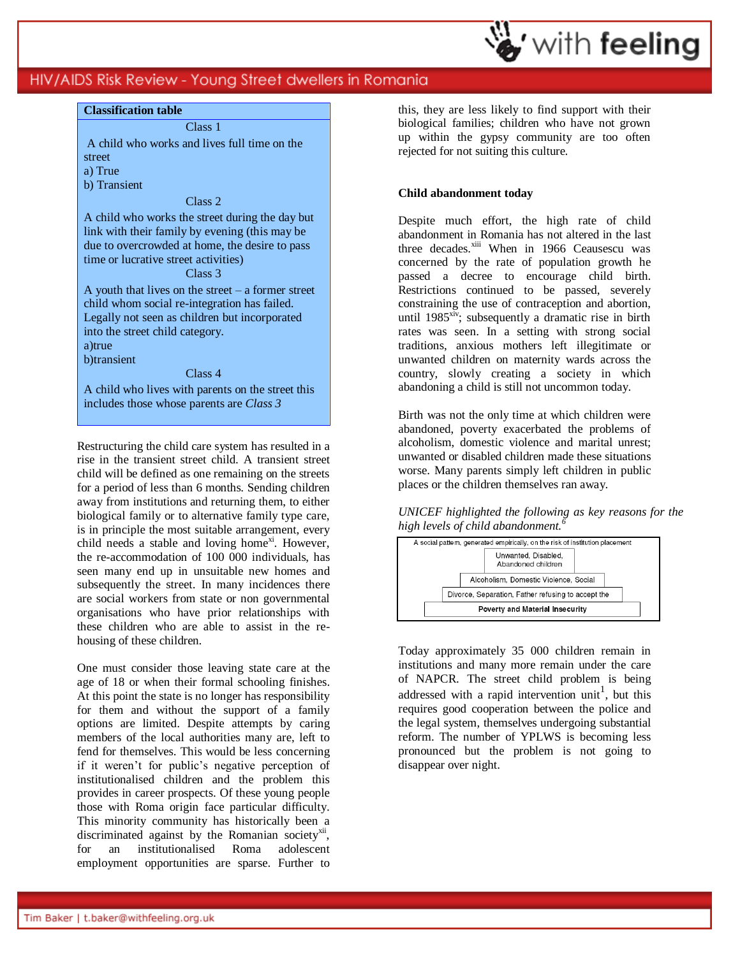

### **Classification table**

Class 1 A child who works and lives full time on the street

- a) True
- b) Transient

#### Class 2

A child who works the street during the day but link with their family by evening (this may be due to overcrowded at home, the desire to pass time or lucrative street activities)

### Class 3

A youth that lives on the street  $-$  a former street child whom social re-integration has failed. Legally not seen as children but incorporated into the street child category. a)true

b)transient

#### Class 4

A child who lives with parents on the street this includes those whose parents are *Class 3*

Restructuring the child care system has resulted in a rise in the transient street child. A transient street child will be defined as one remaining on the streets for a period of less than 6 months. Sending children away from institutions and returning them, to either biological family or to alternative family type care, is in principle the most suitable arrangement, every child needs a stable and loving home<sup>xi</sup>. However, the re-accommodation of 100 000 individuals, has seen many end up in unsuitable new homes and subsequently the street. In many incidences there are social workers from state or non governmental organisations who have prior relationships with these children who are able to assist in the rehousing of these children.

One must consider those leaving state care at the age of 18 or when their formal schooling finishes. At this point the state is no longer has responsibility for them and without the support of a family options are limited. Despite attempts by caring members of the local authorities many are, left to fend for themselves. This would be less concerning if it weren't for public's negative perception of institutionalised children and the problem this provides in career prospects. Of these young people those with Roma origin face particular difficulty. This minority community has historically been a discriminated against by the Romanian societyxii, for an institutionalised Roma adolescent employment opportunities are sparse. Further to this, they are less likely to find support with their biological families; children who have not grown up within the gypsy community are too often rejected for not suiting this culture.

# **Child abandonment today**

Despite much effort, the high rate of child abandonment in Romania has not altered in the last three decades.<sup>xiii</sup> When in 1966 Ceausescu was concerned by the rate of population growth he passed a decree to encourage child birth. Restrictions continued to be passed, severely constraining the use of contraception and abortion, until  $1985<sup>xiv</sup>$ ; subsequently a dramatic rise in birth rates was seen. In a setting with strong social traditions, anxious mothers left illegitimate or unwanted children on maternity wards across the country, slowly creating a society in which abandoning a child is still not uncommon today.

Birth was not the only time at which children were abandoned, poverty exacerbated the problems of alcoholism, domestic violence and marital unrest; unwanted or disabled children made these situations worse. Many parents simply left children in public places or the children themselves ran away.

*UNICEF highlighted the following as key reasons for the high levels of child abandonment.<sup>6</sup>*



Today approximately 35 000 children remain in institutions and many more remain under the care of NAPCR. The street child problem is being addressed with a rapid intervention unit<sup>1</sup>, but this requires good cooperation between the police and the legal system, themselves undergoing substantial reform. The number of YPLWS is becoming less pronounced but the problem is not going to disappear over night.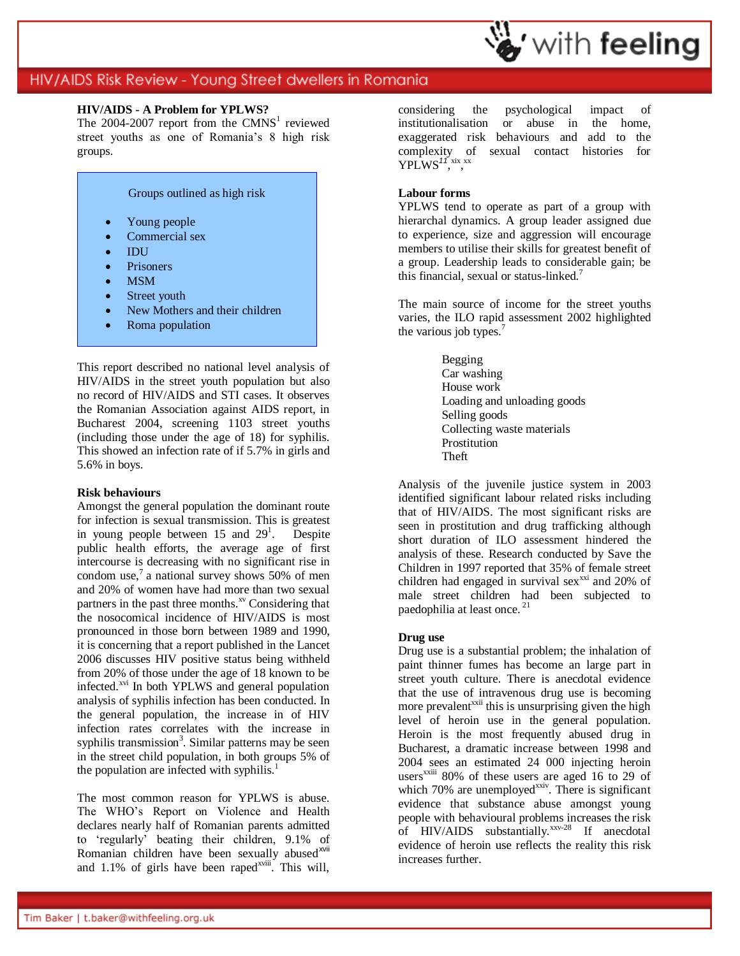

### **HIV/AIDS - A Problem for YPLWS?**

The  $2004-2007$  report from the CMNS<sup>1</sup> reviewed street youths as one of Romania's 8 high risk groups.



This report described no national level analysis of HIV/AIDS in the street youth population but also no record of HIV/AIDS and STI cases. It observes the Romanian Association against AIDS report, in Bucharest 2004, screening 1103 street youths (including those under the age of 18) for syphilis. This showed an infection rate of if 5.7% in girls and 5.6% in boys.

### **Risk behaviours**

Amongst the general population the dominant route for infection is sexual transmission. This is greatest in young people between  $15$  and  $29<sup>1</sup>$ . Despite public health efforts, the average age of first intercourse is decreasing with no significant rise in condom use,<sup>7</sup> a national survey shows 50% of men and 20% of women have had more than two sexual partners in the past three months.<sup>xv</sup> Considering that the nosocomical incidence of HIV/AIDS is most pronounced in those born between 1989 and 1990, it is concerning that a report published in the Lancet 2006 discusses HIV positive status being withheld from 20% of those under the age of 18 known to be infected.<sup>xvi</sup> In both YPLWS and general population analysis of syphilis infection has been conducted. In the general population, the increase in of HIV infection rates correlates with the increase in syphilis transmission<sup>3</sup>. Similar patterns may be seen in the street child population, in both groups 5% of the population are infected with syphilis.<sup>1</sup>

The most common reason for YPLWS is abuse. The WHO's Report on Violence and Health declares nearly half of Romanian parents admitted to 'regularly' beating their children, 9.1% of Romanian children have been sexually abused $x<sup>will</sup>$ and  $1.1\%$  of girls have been raped<sup>xviii</sup>. This will, considering the psychological impact of institutionalisation or abuse in the home, exaggerated risk behaviours and add to the complexity of sexual contact histories for YPLWS<sup>17</sup>, xix<sub>,</sub> xx

# **Labour forms**

YPLWS tend to operate as part of a group with hierarchal dynamics. A group leader assigned due to experience, size and aggression will encourage members to utilise their skills for greatest benefit of a group. Leadership leads to considerable gain; be this financial, sexual or status-linked.<sup>7</sup>

The main source of income for the street youths varies, the ILO rapid assessment 2002 highlighted the various job types.<sup>7</sup>

> Begging Car washing House work Loading and unloading goods Selling goods Collecting waste materials Prostitution Theft

Analysis of the juvenile justice system in 2003 identified significant labour related risks including that of HIV/AIDS. The most significant risks are seen in prostitution and drug trafficking although short duration of ILO assessment hindered the analysis of these. Research conducted by Save the Children in 1997 reported that 35% of female street children had engaged in survival sex $^{xxi}$  and 20% of male street children had been subjected to paedophilia at least once.<sup>21</sup>

### **Drug use**

Drug use is a substantial problem; the inhalation of paint thinner fumes has become an large part in street youth culture. There is anecdotal evidence that the use of intravenous drug use is becoming more prevalent<sup> $xxi$ i</sup> this is unsurprising given the high level of heroin use in the general population. Heroin is the most frequently abused drug in Bucharest, a dramatic increase between 1998 and 2004 sees an estimated 24 000 injecting heroin users<sup>xxiii</sup> 80% of these users are aged 16 to 29 of which  $70\%$  are unemployed<sup>xxiv</sup>. There is significant evidence that substance abuse amongst young people with behavioural problems increases the risk of  $HIV/AIDS$  substantially.<sup>xxv-28</sup> If anecdotal evidence of heroin use reflects the reality this risk increases further.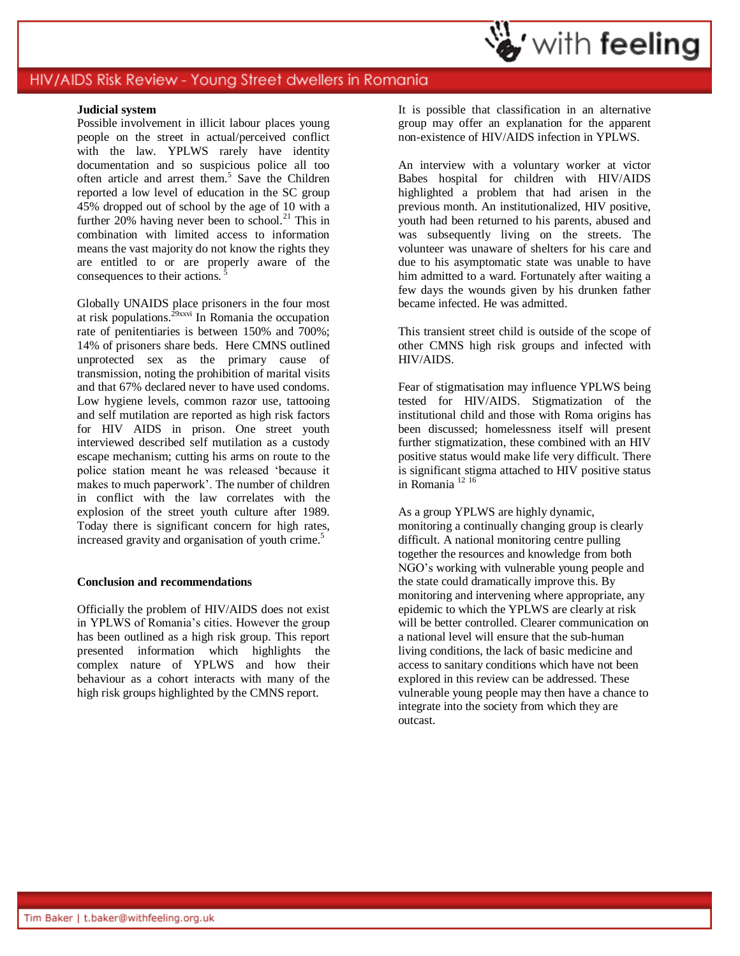### **Judicial system**

Possible involvement in illicit labour places young people on the street in actual/perceived conflict with the law. YPLWS rarely have identity documentation and so suspicious police all too often article and arrest them. 5 Save the Children reported a low level of education in the SC group 45% dropped out of school by the age of 10 with a further 20% having never been to school.<sup>21</sup> This in combination with limited access to information means the vast majority do not know the rights they are entitled to or are properly aware of the consequences to their actions.

Globally UNAIDS place prisoners in the four most at risk populations.<sup> $29$ xxvi</sup> In Romania the occupation rate of penitentiaries is between 150% and 700%; 14% of prisoners share beds. Here CMNS outlined unprotected sex as the primary cause of transmission, noting the prohibition of marital visits and that 67% declared never to have used condoms. Low hygiene levels, common razor use, tattooing and self mutilation are reported as high risk factors for HIV AIDS in prison. One street youth interviewed described self mutilation as a custody escape mechanism; cutting his arms on route to the police station meant he was released 'because it makes to much paperwork'. The number of children in conflict with the law correlates with the explosion of the street youth culture after 1989. Today there is significant concern for high rates, increased gravity and organisation of youth crime.<sup>5</sup>

### **Conclusion and recommendations**

Officially the problem of HIV/AIDS does not exist in YPLWS of Romania's cities. However the group has been outlined as a high risk group. This report presented information which highlights the complex nature of YPLWS and how their behaviour as a cohort interacts with many of the high risk groups highlighted by the CMNS report.

It is possible that classification in an alternative group may offer an explanation for the apparent non-existence of HIV/AIDS infection in YPLWS.

An interview with a voluntary worker at victor Babes hospital for children with HIV/AIDS highlighted a problem that had arisen in the previous month. An institutionalized, HIV positive, youth had been returned to his parents, abused and was subsequently living on the streets. The volunteer was unaware of shelters for his care and due to his asymptomatic state was unable to have him admitted to a ward. Fortunately after waiting a few days the wounds given by his drunken father became infected. He was admitted.

This transient street child is outside of the scope of other CMNS high risk groups and infected with HIV/AIDS.

Fear of stigmatisation may influence YPLWS being tested for HIV/AIDS. Stigmatization of the institutional child and those with Roma origins has been discussed; homelessness itself will present further stigmatization, these combined with an HIV positive status would make life very difficult. There is significant stigma attached to HIV positive status in Romania <sup>12</sup> <sup>16</sup>

As a group YPLWS are highly dynamic, monitoring a continually changing group is clearly difficult. A national monitoring centre pulling together the resources and knowledge from both NGO's working with vulnerable young people and the state could dramatically improve this. By monitoring and intervening where appropriate, any epidemic to which the YPLWS are clearly at risk will be better controlled. Clearer communication on a national level will ensure that the sub-human living conditions, the lack of basic medicine and access to sanitary conditions which have not been explored in this review can be addressed. These vulnerable young people may then have a chance to integrate into the society from which they are outcast.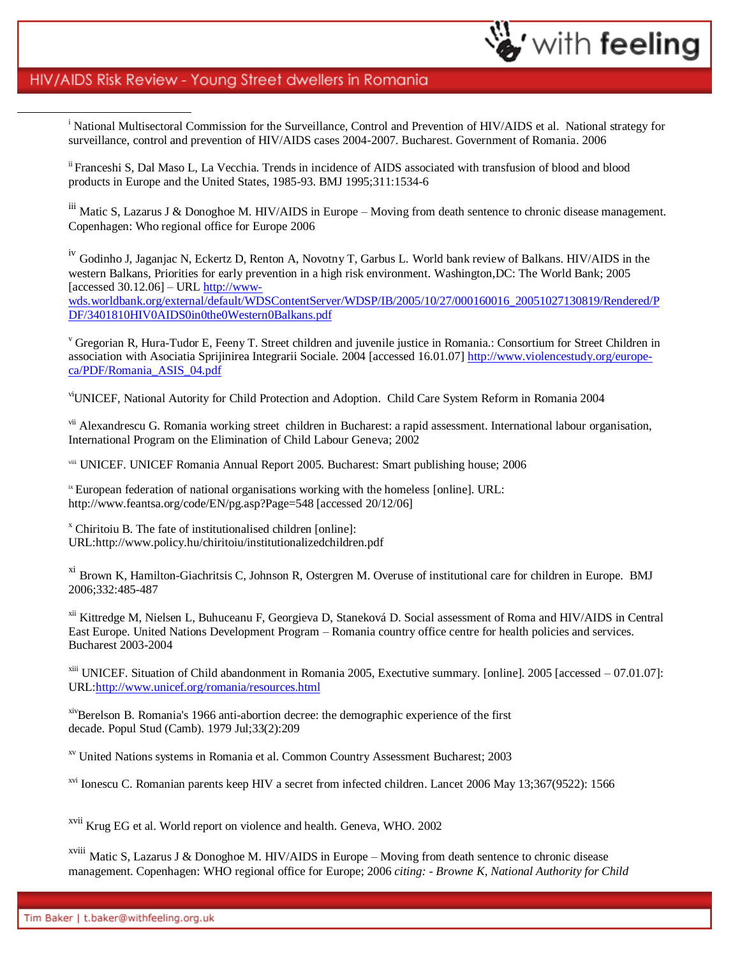$\overline{a}$ 

<sup>i</sup> National Multisectoral Commission for the Surveillance, Control and Prevention of HIV/AIDS et al. National strategy for surveillance, control and prevention of HIV/AIDS cases 2004-2007. Bucharest. Government of Romania. 2006

with feeling

ii Franceshi S, Dal Maso L, La Vecchia. Trends in incidence of AIDS associated with transfusion of blood and blood products in Europe and the United States, 1985-93. BMJ 1995;311:1534-6

iii Matic S, Lazarus J & Donoghoe M. HIV/AIDS in Europe – Moving from death sentence to chronic disease management. Copenhagen: Who regional office for Europe 2006

<sup>iv</sup> Godinho J, Jaganjac N, Eckertz D, Renton A, Novotny T, Garbus L. World bank review of Balkans. HIV/AIDS in the western Balkans, Priorities for early prevention in a high risk environment. Washington,DC: The World Bank; 2005 [accessed  $30.12.06$ ] – URL [http://www](http://www-wds.worldbank.org/external/default/WDSContentServer/WDSP/IB/2005/10/27/000160016_20051027130819/Rendered/PDF/3401810HIV0AIDS0in0the0Western0Balkans.pdf)[wds.worldbank.org/external/default/WDSContentServer/WDSP/IB/2005/10/27/000160016\\_20051027130819/Rendered/P](http://www-wds.worldbank.org/external/default/WDSContentServer/WDSP/IB/2005/10/27/000160016_20051027130819/Rendered/PDF/3401810HIV0AIDS0in0the0Western0Balkans.pdf) [DF/3401810HIV0AIDS0in0the0Western0Balkans.pdf](http://www-wds.worldbank.org/external/default/WDSContentServer/WDSP/IB/2005/10/27/000160016_20051027130819/Rendered/PDF/3401810HIV0AIDS0in0the0Western0Balkans.pdf)

<sup>v</sup> Gregorian R, Hura-Tudor E, Feeny T. Street children and juvenile justice in Romania.: Consortium for Street Children in association with Asociatia Sprijinirea Integrarii Sociale. 2004 [accessed 16.01.07] [http://www.violencestudy.org/europe](http://www.violencestudy.org/europe-ca/PDF/Romania_ASIS_04.pdf)[ca/PDF/Romania\\_ASIS\\_04.pdf](http://www.violencestudy.org/europe-ca/PDF/Romania_ASIS_04.pdf)

viUNICEF, National Autority for Child Protection and Adoption. Child Care System Reform in Romania 2004

<sup>vii</sup> Alexandrescu G. Romania working street children in Bucharest: a rapid assessment. International labour organisation, International Program on the Elimination of Child Labour Geneva; 2002

viii UNICEF. UNICEF Romania Annual Report 2005. Bucharest: Smart publishing house; 2006

<sup>ix</sup> European federation of national organisations working with the homeless [online]. URL: http://www.feantsa.org/code/EN/pg.asp?Page=548 [accessed 20/12/06]

<sup>x</sup> Chiritoiu B. The fate of institutionalised children [online]: URL:http://www.policy.hu/chiritoiu/institutionalizedchildren.pdf

xi Brown K, Hamilton-Giachritsis C, Johnson R, Ostergren M. Overuse of institutional care for children in Europe. BMJ 2006;332:485-487

<sup>xii</sup> Kittredge M, Nielsen L, Buhuceanu F, Georgieva D, Staneková D. Social assessment of Roma and HIV/AIDS in Central East Europe. United Nations Development Program – Romania country office centre for health policies and services. Bucharest 2003-2004

xiii UNICEF. Situation of Child abandonment in Romania 2005, Exectutive summary. [online]. 2005 [accessed – 07.01.07]: URL[:http://www.unicef.org/romania/resources.html](http://www.unicef.org/romania/resources.html)

xivBerelson B. Romania's 1966 anti-abortion decree: the demographic experience of the first decade. Popul Stud (Camb). 1979 Jul;33(2):209

xv United Nations systems in Romania et al. Common Country Assessment Bucharest; 2003

xvi Ionescu C. Romanian parents keep HIV a secret from infected children. Lancet 2006 May 13;367(9522): 1566

xvii Krug EG et al. World report on violence and health. Geneva, WHO. 2002

xviii Matic S, Lazarus J & Donoghoe M. HIV/AIDS in Europe – Moving from death sentence to chronic disease management. Copenhagen: WHO regional office for Europe; 2006 *citing: - Browne K, National Authority for Child*